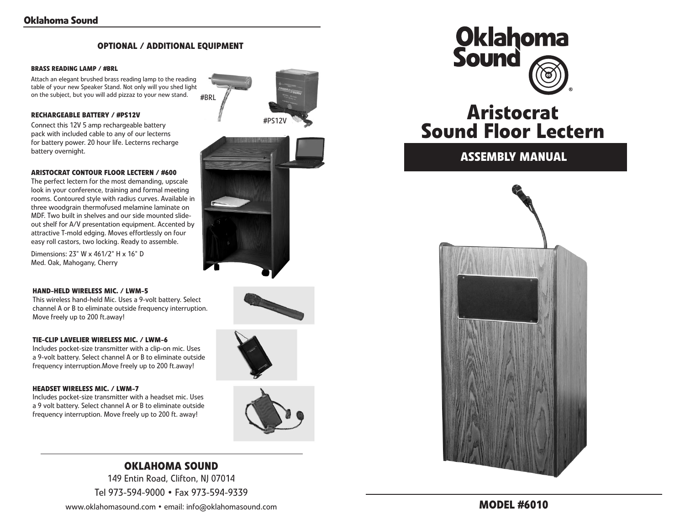### **optional / additional equipment**

#### **Brass Reading Lamp / #BRL**

Attach an elegant brushed brass reading lamp to the reading table of your new Speaker Stand. Not only will you shed light on the subject, but you will add pizzaz to your new stand. #BRL

#### **Rechargeable battery / #PS12V**

Connect this 12V 5 amp rechargeable battery pack with included cable to any of our lecterns for battery power. 20 hour life. Lecterns recharge battery overnight.



The perfect lectern for the most demanding, upscale look in your conference, training and formal meeting rooms. Contoured style with radius curves. Available in three woodgrain thermofused melamine laminate on MDF. Two built in shelves and our side mounted slideout shelf for A/V presentation equipment. Accented by attractive T-mold edging. Moves effortlessly on four easy roll castors, two locking. Ready to assemble.

Dimensions: 23" W x 461/2" H x 16" D Med. Oak, Mahogany, Cherry

#### **HAND-HELD WIRELESS MIC. / LWM-5**

This wireless hand-held Mic. Uses a 9-volt battery. Select channel A or B to eliminate outside frequency interruption. Move freely up to 200 ft.away!

#### **TIE-CLIP LAVELIER WIRELESS MIC. / LWM-6**

Includes pocket-size transmitter with a clip-on mic. Uses a 9-volt battery. Select channel A or B to eliminate outside frequency interruption.Move freely up to 200 ft.away!

#### **HEADSET WIRELESS MIC. / LWM-7**

Includes pocket-size transmitter with a headset mic. Uses a 9 volt battery. Select channel A or B to eliminate outside frequency interruption. Move freely up to 200 ft. away!











## **Oklahoma Sound** 149 Entin Road, Clifton, NJ 07014

Tel 973-594-9000 • Fax 973-594-9339



# **Aristocrat Sound Floor Lectern**

**Assembly Manual**





www.oklahomasound.com • email: info@oklahomasound.com